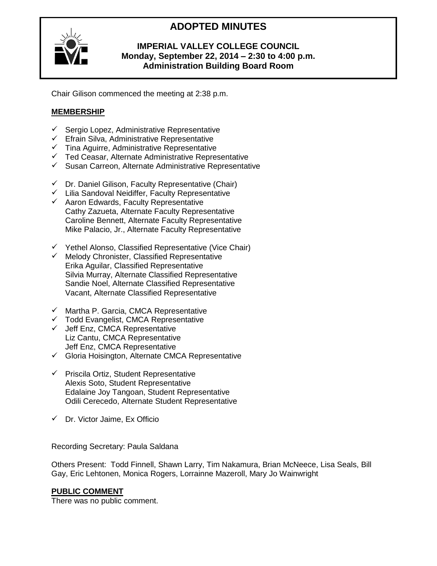# **ADOPTED MINUTES**



# **IMPERIAL VALLEY COLLEGE COUNCIL Monday, September 22, 2014 – 2:30 to 4:00 p.m. Administration Building Board Room**

Chair Gilison commenced the meeting at 2:38 p.m.

# **MEMBERSHIP**

- $\checkmark$  Sergio Lopez, Administrative Representative
- $\checkmark$  Efrain Silva, Administrative Representative
- Tina Aguirre, Administrative Representative
- $\checkmark$  Ted Ceasar, Alternate Administrative Representative
- $\checkmark$  Susan Carreon, Alternate Administrative Representative
- $\checkmark$  Dr. Daniel Gilison, Faculty Representative (Chair)
- $\checkmark$  Lilia Sandoval Neidiffer, Faculty Representative
- $\checkmark$  Aaron Edwards, Faculty Representative Cathy Zazueta, Alternate Faculty Representative Caroline Bennett, Alternate Faculty Representative Mike Palacio, Jr., Alternate Faculty Representative
- $\checkmark$  Yethel Alonso, Classified Representative (Vice Chair)
- $\checkmark$  Melody Chronister, Classified Representative Erika Aguilar, Classified Representative Silvia Murray, Alternate Classified Representative Sandie Noel, Alternate Classified Representative Vacant, Alternate Classified Representative
- $\checkmark$  Martha P. Garcia, CMCA Representative
- $\checkmark$  Todd Evangelist, CMCA Representative
- $\checkmark$  Jeff Enz, CMCA Representative Liz Cantu, CMCA Representative Jeff Enz, CMCA Representative
- $\checkmark$  Gloria Hoisington, Alternate CMCA Representative
- $\checkmark$  Priscila Ortiz, Student Representative Alexis Soto, Student Representative Edalaine Joy Tangoan, Student Representative Odili Cerecedo, Alternate Student Representative
- $\checkmark$  Dr. Victor Jaime, Ex Officio

Recording Secretary: Paula Saldana

Others Present: Todd Finnell, Shawn Larry, Tim Nakamura, Brian McNeece, Lisa Seals, Bill Gay, Eric Lehtonen, Monica Rogers, Lorrainne Mazeroll, Mary Jo Wainwright

## **PUBLIC COMMENT**

There was no public comment.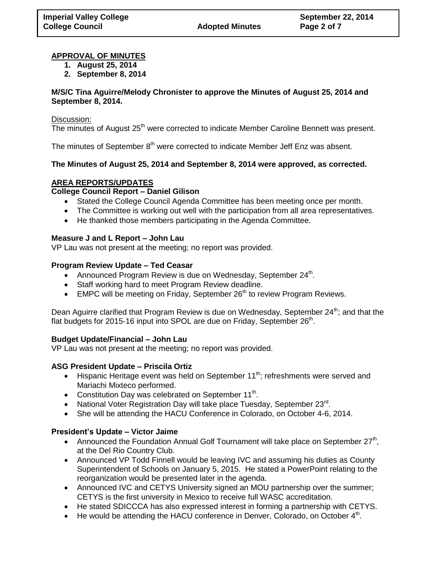#### **APPROVAL OF MINUTES**

- **1. August 25, 2014**
- **2. September 8, 2014**

#### **M/S/C Tina Aguirre/Melody Chronister to approve the Minutes of August 25, 2014 and September 8, 2014.**

#### Discussion:

The minutes of August  $25<sup>th</sup>$  were corrected to indicate Member Caroline Bennett was present.

The minutes of September  $8<sup>th</sup>$  were corrected to indicate Member Jeff Enz was absent.

## **The Minutes of August 25, 2014 and September 8, 2014 were approved, as corrected.**

# **AREA REPORTS/UPDATES**

# **College Council Report – Daniel Gilison**

- Stated the College Council Agenda Committee has been meeting once per month.
- The Committee is working out well with the participation from all area representatives.
- He thanked those members participating in the Agenda Committee.

## **Measure J and L Report – John Lau**

VP Lau was not present at the meeting; no report was provided.

#### **Program Review Update – Ted Ceasar**

- Announced Program Review is due on Wednesday, September 24<sup>th</sup>.
- Staff working hard to meet Program Review deadline.
- $\bullet$  EMPC will be meeting on Friday, September 26<sup>th</sup> to review Program Reviews.

Dean Aguirre clarified that Program Review is due on Wednesday, September  $24^{th}$ ; and that the flat budgets for 2015-16 input into SPOL are due on Friday, September 26<sup>th</sup>.

## **Budget Update/Financial – John Lau**

VP Lau was not present at the meeting; no report was provided.

## **ASG President Update – Priscila Ortiz**

- **Hispanic Heritage event was held on September 11<sup>th</sup>; refreshments were served and** Mariachi Mixteco performed.
- Constitution Day was celebrated on September  $11^{th}$ .
- National Voter Registration Day will take place Tuesday, September  $23^{\text{rd}}$ .
- She will be attending the HACU Conference in Colorado, on October 4-6, 2014.

## **President's Update – Victor Jaime**

- Announced the Foundation Annual Golf Tournament will take place on September  $27<sup>th</sup>$ , at the Del Rio Country Club.
- Announced VP Todd Finnell would be leaving IVC and assuming his duties as County Superintendent of Schools on January 5, 2015. He stated a PowerPoint relating to the reorganization would be presented later in the agenda.
- Announced IVC and CETYS University signed an MOU partnership over the summer; CETYS is the first university in Mexico to receive full WASC accreditation.
- He stated SDICCCA has also expressed interest in forming a partnership with CETYS.
- $\bullet$  He would be attending the HACU conference in Denver, Colorado, on October  $4<sup>th</sup>$ .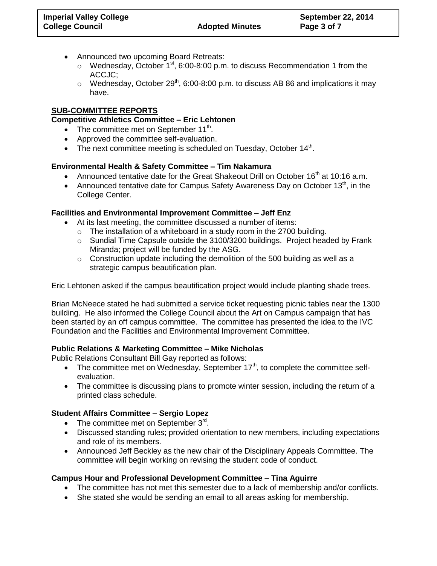- Announced two upcoming Board Retreats:
	- $\circ$  Wednesday, October 1<sup>st</sup>, 6:00-8:00 p.m. to discuss Recommendation 1 from the ACCJC;
	- $\circ$  Wednesday, October 29<sup>th</sup>, 6:00-8:00 p.m. to discuss AB 86 and implications it may have.

## **SUB-COMMITTEE REPORTS**

## **Competitive Athletics Committee – Eric Lehtonen**

- The committee met on September  $11<sup>th</sup>$ .
- Approved the committee self-evaluation.
- The next committee meeting is scheduled on Tuesday, October  $14<sup>th</sup>$ .

# **Environmental Health & Safety Committee – Tim Nakamura**

- Announced tentative date for the Great Shakeout Drill on October  $16<sup>th</sup>$  at 10:16 a.m.
- Announced tentative date for Campus Safety Awareness Day on October 13<sup>th</sup>, in the College Center.

# **Facilities and Environmental Improvement Committee – Jeff Enz**

- At its last meeting, the committee discussed a number of items:
	- $\circ$  The installation of a whiteboard in a study room in the 2700 building.
	- $\circ$  Sundial Time Capsule outside the 3100/3200 buildings. Project headed by Frank Miranda; project will be funded by the ASG.
	- $\circ$  Construction update including the demolition of the 500 building as well as a strategic campus beautification plan.

Eric Lehtonen asked if the campus beautification project would include planting shade trees.

Brian McNeece stated he had submitted a service ticket requesting picnic tables near the 1300 building. He also informed the College Council about the Art on Campus campaign that has been started by an off campus committee. The committee has presented the idea to the IVC Foundation and the Facilities and Environmental Improvement Committee.

## **Public Relations & Marketing Committee – Mike Nicholas**

Public Relations Consultant Bill Gay reported as follows:

- The committee met on Wednesday, September  $17<sup>th</sup>$ , to complete the committee selfevaluation.
- The committee is discussing plans to promote winter session, including the return of a printed class schedule.

## **Student Affairs Committee – Sergio Lopez**

- The committee met on September  $3^{\text{rd}}$ .
- Discussed standing rules; provided orientation to new members, including expectations and role of its members.
- Announced Jeff Beckley as the new chair of the Disciplinary Appeals Committee. The committee will begin working on revising the student code of conduct.

# **Campus Hour and Professional Development Committee – Tina Aguirre**

- The committee has not met this semester due to a lack of membership and/or conflicts.
- She stated she would be sending an email to all areas asking for membership.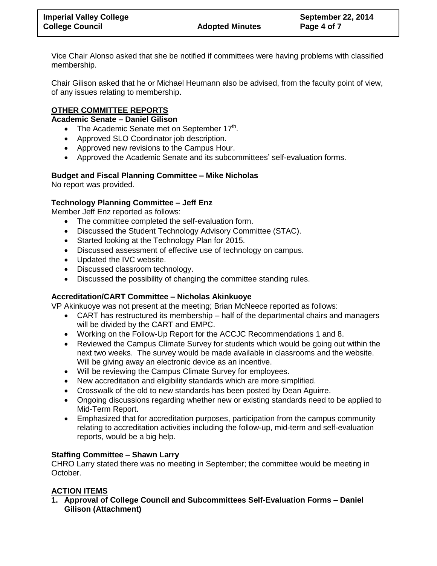Vice Chair Alonso asked that she be notified if committees were having problems with classified membership.

Chair Gilison asked that he or Michael Heumann also be advised, from the faculty point of view, of any issues relating to membership.

# **OTHER COMMITTEE REPORTS**

## **Academic Senate – Daniel Gilison**

- The Academic Senate met on September  $17<sup>th</sup>$ .
- Approved SLO Coordinator job description.
- Approved new revisions to the Campus Hour.
- Approved the Academic Senate and its subcommittees' self-evaluation forms.

# **Budget and Fiscal Planning Committee – Mike Nicholas**

No report was provided.

# **Technology Planning Committee – Jeff Enz**

Member Jeff Enz reported as follows:

- The committee completed the self-evaluation form.
- Discussed the Student Technology Advisory Committee (STAC).
- Started looking at the Technology Plan for 2015.
- Discussed assessment of effective use of technology on campus.
- Updated the IVC website.
- Discussed classroom technology.
- Discussed the possibility of changing the committee standing rules.

## **Accreditation/CART Committee – Nicholas Akinkuoye**

VP Akinkuoye was not present at the meeting; Brian McNeece reported as follows:

- CART has restructured its membership half of the departmental chairs and managers will be divided by the CART and EMPC.
- Working on the Follow-Up Report for the ACCJC Recommendations 1 and 8.
- Reviewed the Campus Climate Survey for students which would be going out within the next two weeks. The survey would be made available in classrooms and the website. Will be giving away an electronic device as an incentive.
- Will be reviewing the Campus Climate Survey for employees.
- New accreditation and eligibility standards which are more simplified.
- Crosswalk of the old to new standards has been posted by Dean Aguirre.
- Ongoing discussions regarding whether new or existing standards need to be applied to Mid-Term Report.
- Emphasized that for accreditation purposes, participation from the campus community relating to accreditation activities including the follow-up, mid-term and self-evaluation reports, would be a big help.

## **Staffing Committee – Shawn Larry**

CHRO Larry stated there was no meeting in September; the committee would be meeting in October.

# **ACTION ITEMS**

**1. Approval of College Council and Subcommittees Self-Evaluation Forms – Daniel Gilison (Attachment)**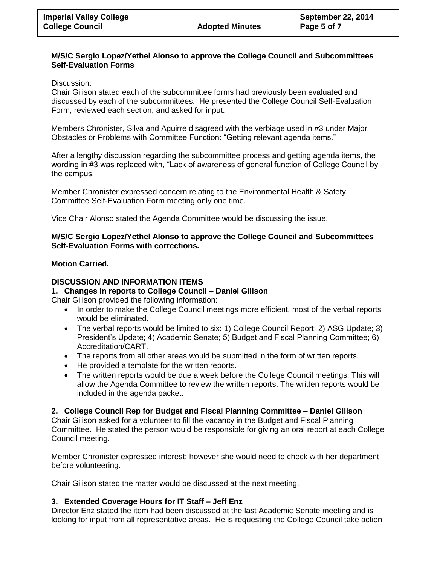#### **M/S/C Sergio Lopez/Yethel Alonso to approve the College Council and Subcommittees Self-Evaluation Forms**

#### Discussion:

Chair Gilison stated each of the subcommittee forms had previously been evaluated and discussed by each of the subcommittees. He presented the College Council Self-Evaluation Form, reviewed each section, and asked for input.

Members Chronister, Silva and Aguirre disagreed with the verbiage used in #3 under Major Obstacles or Problems with Committee Function: "Getting relevant agenda items."

After a lengthy discussion regarding the subcommittee process and getting agenda items, the wording in #3 was replaced with, "Lack of awareness of general function of College Council by the campus."

Member Chronister expressed concern relating to the Environmental Health & Safety Committee Self-Evaluation Form meeting only one time.

Vice Chair Alonso stated the Agenda Committee would be discussing the issue.

#### **M/S/C Sergio Lopez/Yethel Alonso to approve the College Council and Subcommittees Self-Evaluation Forms with corrections.**

#### **Motion Carried.**

#### **DISCUSSION AND INFORMATION ITEMS**

#### **1. Changes in reports to College Council – Daniel Gilison**

Chair Gilison provided the following information:

- In order to make the College Council meetings more efficient, most of the verbal reports would be eliminated.
- The verbal reports would be limited to six: 1) College Council Report; 2) ASG Update; 3) President's Update; 4) Academic Senate; 5) Budget and Fiscal Planning Committee; 6) Accreditation/CART.
- The reports from all other areas would be submitted in the form of written reports.
- He provided a template for the written reports.
- The written reports would be due a week before the College Council meetings. This will allow the Agenda Committee to review the written reports. The written reports would be included in the agenda packet.

#### **2. College Council Rep for Budget and Fiscal Planning Committee – Daniel Gilison**

Chair Gilison asked for a volunteer to fill the vacancy in the Budget and Fiscal Planning Committee. He stated the person would be responsible for giving an oral report at each College Council meeting.

Member Chronister expressed interest; however she would need to check with her department before volunteering.

Chair Gilison stated the matter would be discussed at the next meeting.

## **3. Extended Coverage Hours for IT Staff – Jeff Enz**

Director Enz stated the item had been discussed at the last Academic Senate meeting and is looking for input from all representative areas. He is requesting the College Council take action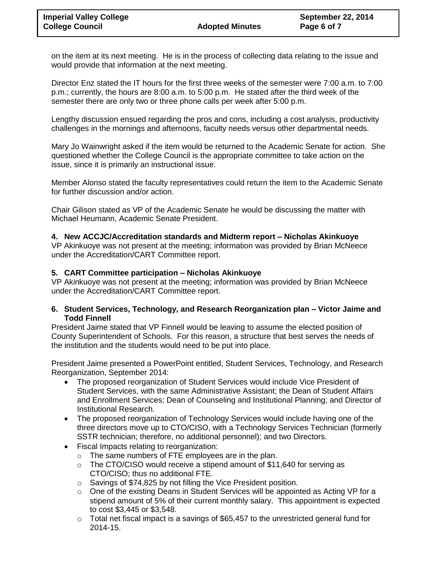on the item at its next meeting. He is in the process of collecting data relating to the issue and would provide that information at the next meeting.

Director Enz stated the IT hours for the first three weeks of the semester were 7:00 a.m. to 7:00 p.m.; currently, the hours are 8:00 a.m. to 5:00 p.m. He stated after the third week of the semester there are only two or three phone calls per week after 5:00 p.m.

Lengthy discussion ensued regarding the pros and cons, including a cost analysis, productivity challenges in the mornings and afternoons, faculty needs versus other departmental needs.

Mary Jo Wainwright asked if the item would be returned to the Academic Senate for action. She questioned whether the College Council is the appropriate committee to take action on the issue, since it is primarily an instructional issue.

Member Alonso stated the faculty representatives could return the item to the Academic Senate for further discussion and/or action.

Chair Gilison stated as VP of the Academic Senate he would be discussing the matter with Michael Heumann, Academic Senate President.

## **4. New ACCJC/Accreditation standards and Midterm report – Nicholas Akinkuoye**

VP Akinkuoye was not present at the meeting; information was provided by Brian McNeece under the Accreditation/CART Committee report.

#### **5. CART Committee participation – Nicholas Akinkuoye**

VP Akinkuoye was not present at the meeting; information was provided by Brian McNeece under the Accreditation/CART Committee report.

#### **6. Student Services, Technology, and Research Reorganization plan – Victor Jaime and Todd Finnell**

President Jaime stated that VP Finnell would be leaving to assume the elected position of County Superintendent of Schools. For this reason, a structure that best serves the needs of the institution and the students would need to be put into place.

President Jaime presented a PowerPoint entitled, Student Services, Technology, and Research Reorganization, September 2014:

- The proposed reorganization of Student Services would include Vice President of Student Services, with the same Administrative Assistant; the Dean of Student Affairs and Enrollment Services; Dean of Counseling and Institutional Planning; and Director of Institutional Research.
- The proposed reorganization of Technology Services would include having one of the three directors move up to CTO/CISO, with a Technology Services Technician (formerly SSTR technician; therefore, no additional personnel); and two Directors.
- Fiscal Impacts relating to reorganization:
	- o The same numbers of FTE employees are in the plan.
	- $\circ$  The CTO/CISO would receive a stipend amount of \$11,640 for serving as CTO/CISO; thus no additional FTE.
	- o Savings of \$74,825 by not filling the Vice President position.
	- o One of the existing Deans in Student Services will be appointed as Acting VP for a stipend amount of 5% of their current monthly salary. This appointment is expected to cost \$3,445 or \$3,548.
	- $\circ$  Total net fiscal impact is a savings of \$65,457 to the unrestricted general fund for 2014-15.